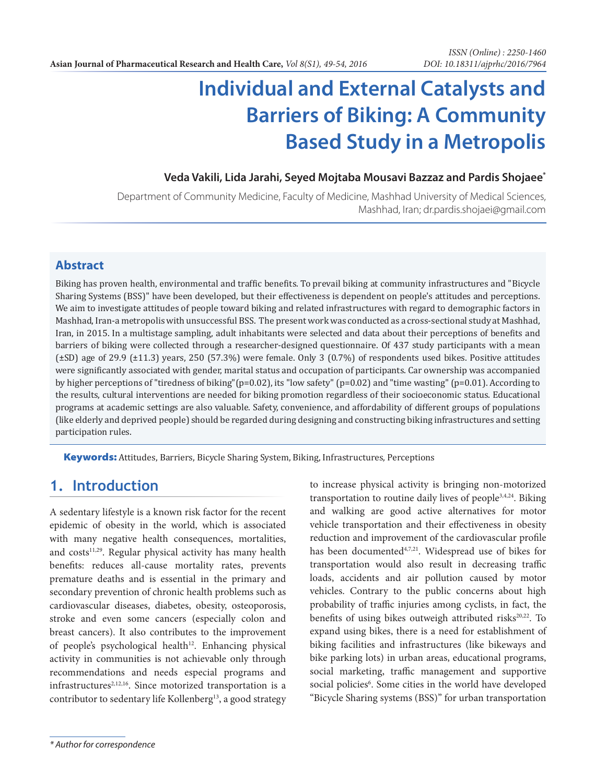# **Individual and External Catalysts and Barriers of Biking: A Community Based Study in a Metropolis**

#### **Veda Vakili, Lida Jarahi, Seyed Mojtaba Mousavi Bazzaz and Pardis Shojaee\***

Department of Community Medicine, Faculty of Medicine, Mashhad University of Medical Sciences, Mashhad, Iran; dr.pardis.shojaei@gmail.com

#### **Abstract**

Biking has proven health, environmental and traffic benefits. To prevail biking at community infrastructures and "Bicycle Sharing Systems (BSS)" have been developed, but their effectiveness is dependent on people's attitudes and perceptions. We aim to investigate attitudes of people toward biking and related infrastructures with regard to demographic factors in Mashhad, Iran-a metropolis with unsuccessful BSS. The present work was conducted as a cross-sectional study at Mashhad, Iran, in 2015. In a multistage sampling, adult inhabitants were selected and data about their perceptions of benefits and barriers of biking were collected through a researcher-designed questionnaire. Of 437 study participants with a mean (±SD) age of 29.9 (±11.3) years, 250 (57.3%) were female. Only 3 (0.7%) of respondents used bikes. Positive attitudes were significantly associated with gender, marital status and occupation of participants. Car ownership was accompanied by higher perceptions of "tiredness of biking"(p=0.02), its "low safety" (p=0.02) and "time wasting" (p=0.01). According to the results, cultural interventions are needed for biking promotion regardless of their socioeconomic status. Educational programs at academic settings are also valuable. Safety, convenience, and affordability of different groups of populations (like elderly and deprived people) should be regarded during designing and constructing biking infrastructures and setting participation rules.

Keywords: Attitudes, Barriers, Bicycle Sharing System, Biking, Infrastructures, Perceptions

#### **1. Introduction**

A sedentary lifestyle is a known risk factor for the recent epidemic of obesity in the world, which is associated with many negative health consequences, mortalities, and costs<sup>11,29</sup>. Regular physical activity has many health benefits: reduces all-cause mortality rates, prevents premature deaths and is essential in the primary and secondary prevention of chronic health problems such as cardiovascular diseases, diabetes, obesity, osteoporosis, stroke and even some cancers (especially colon and breast cancers). It also contributes to the improvement of people's psychological health<sup>12</sup>. Enhancing physical activity in communities is not achievable only through recommendations and needs especial programs and infrastructures<sup>2,12,16</sup>. Since motorized transportation is a contributor to sedentary life Kollenberg<sup>13</sup>, a good strategy to increase physical activity is bringing non-motorized transportation to routine daily lives of people<sup>3,4,24</sup>. Biking and walking are good active alternatives for motor vehicle transportation and their effectiveness in obesity reduction and improvement of the cardiovascular profile has been documented<sup>4,7,21</sup>. Widespread use of bikes for transportation would also result in decreasing traffic loads, accidents and air pollution caused by motor vehicles. Contrary to the public concerns about high probability of traffic injuries among cyclists, in fact, the benefits of using bikes outweigh attributed risks<sup>20,22</sup>. To expand using bikes, there is a need for establishment of biking facilities and infrastructures (like bikeways and bike parking lots) in urban areas, educational programs, social marketing, traffic management and supportive social policies<sup>6</sup>. Some cities in the world have developed "Bicycle Sharing systems (BSS)" for urban transportation

*<sup>\*</sup> Author for correspondence*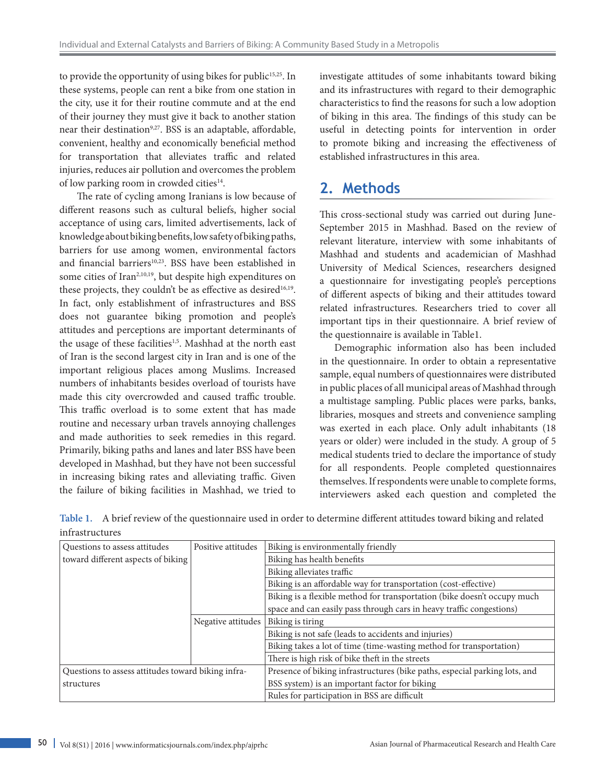to provide the opportunity of using bikes for public<sup>15,25</sup>. In these systems, people can rent a bike from one station in the city, use it for their routine commute and at the end of their journey they must give it back to another station near their destination<sup>9,27</sup>. BSS is an adaptable, affordable, convenient, healthy and economically beneficial method for transportation that alleviates traffic and related injuries, reduces air pollution and overcomes the problem of low parking room in crowded cities<sup>14</sup>.

 The rate of cycling among Iranians is low because of different reasons such as cultural beliefs, higher social acceptance of using cars, limited advertisements, lack of knowledge about biking benefits, low safety of biking paths, barriers for use among women, environmental factors and financial barriers<sup>10,23</sup>. BSS have been established in some cities of Iran<sup>2,10,19</sup>, but despite high expenditures on these projects, they couldn't be as effective as desired<sup>16,19</sup>. In fact, only establishment of infrastructures and BSS does not guarantee biking promotion and people's attitudes and perceptions are important determinants of the usage of these facilities<sup>1,5</sup>. Mashhad at the north east of Iran is the second largest city in Iran and is one of the important religious places among Muslims. Increased numbers of inhabitants besides overload of tourists have made this city overcrowded and caused traffic trouble. This traffic overload is to some extent that has made routine and necessary urban travels annoying challenges and made authorities to seek remedies in this regard. Primarily, biking paths and lanes and later BSS have been developed in Mashhad, but they have not been successful in increasing biking rates and alleviating traffic. Given the failure of biking facilities in Mashhad, we tried to

investigate attitudes of some inhabitants toward biking and its infrastructures with regard to their demographic characteristics to find the reasons for such a low adoption of biking in this area. The findings of this study can be useful in detecting points for intervention in order to promote biking and increasing the effectiveness of established infrastructures in this area.

### **2. Methods**

This cross-sectional study was carried out during June-September 2015 in Mashhad. Based on the review of relevant literature, interview with some inhabitants of Mashhad and students and academician of Mashhad University of Medical Sciences, researchers designed a questionnaire for investigating people's perceptions of different aspects of biking and their attitudes toward related infrastructures. Researchers tried to cover all important tips in their questionnaire. A brief review of the questionnaire is available in Table1.

Demographic information also has been included in the questionnaire. In order to obtain a representative sample, equal numbers of questionnaires were distributed in public places of all municipal areas of Mashhad through a multistage sampling. Public places were parks, banks, libraries, mosques and streets and convenience sampling was exerted in each place. Only adult inhabitants (18 years or older) were included in the study. A group of 5 medical students tried to declare the importance of study for all respondents. People completed questionnaires themselves. If respondents were unable to complete forms, interviewers asked each question and completed the

**Table 1.** A brief review of the questionnaire used in order to determine different attitudes toward biking and related infrastructures

| Questions to assess attitudes                      | Positive attitudes | Biking is environmentally friendly                                         |  |  |  |
|----------------------------------------------------|--------------------|----------------------------------------------------------------------------|--|--|--|
| toward different aspects of biking                 |                    | Biking has health benefits                                                 |  |  |  |
|                                                    |                    | Biking alleviates traffic                                                  |  |  |  |
|                                                    |                    | Biking is an affordable way for transportation (cost-effective)            |  |  |  |
|                                                    |                    | Biking is a flexible method for transportation (bike doesn't occupy much   |  |  |  |
|                                                    |                    | space and can easily pass through cars in heavy traffic congestions)       |  |  |  |
|                                                    | Negative attitudes | Biking is tiring                                                           |  |  |  |
|                                                    |                    | Biking is not safe (leads to accidents and injuries)                       |  |  |  |
|                                                    |                    | Biking takes a lot of time (time-wasting method for transportation)        |  |  |  |
|                                                    |                    | There is high risk of bike theft in the streets                            |  |  |  |
| Questions to assess attitudes toward biking infra- |                    | Presence of biking infrastructures (bike paths, especial parking lots, and |  |  |  |
| structures                                         |                    | BSS system) is an important factor for biking                              |  |  |  |
|                                                    |                    | Rules for participation in BSS are difficult                               |  |  |  |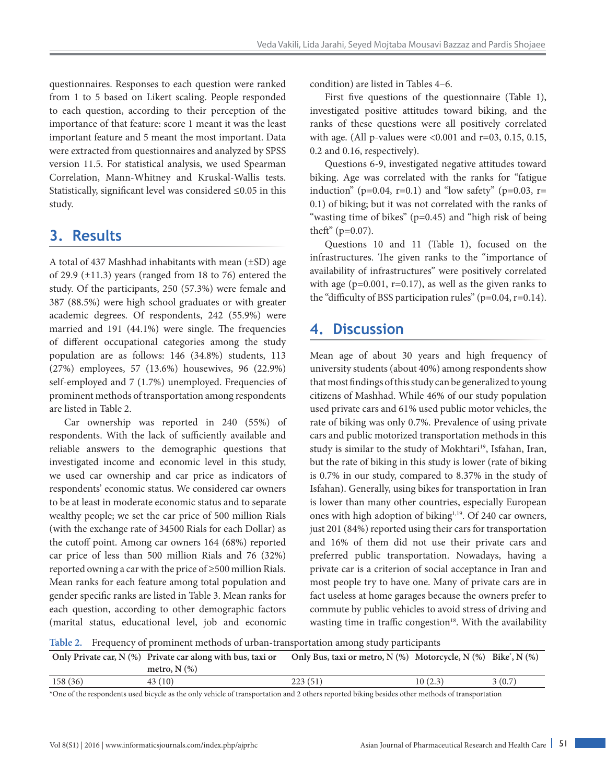questionnaires. Responses to each question were ranked from 1 to 5 based on Likert scaling. People responded to each question, according to their perception of the importance of that feature: score 1 meant it was the least important feature and 5 meant the most important. Data were extracted from questionnaires and analyzed by SPSS version 11.5. For statistical analysis, we used Spearman Correlation, Mann-Whitney and Kruskal-Wallis tests. Statistically, significant level was considered ≤0.05 in this study.

## **3. Results**

A total of 437 Mashhad inhabitants with mean (±SD) age of 29.9  $(\pm 11.3)$  years (ranged from 18 to 76) entered the study. Of the participants, 250 (57.3%) were female and 387 (88.5%) were high school graduates or with greater academic degrees. Of respondents, 242 (55.9%) were married and 191 (44.1%) were single. The frequencies of different occupational categories among the study population are as follows: 146 (34.8%) students, 113 (27%) employees, 57 (13.6%) housewives, 96 (22.9%) self-employed and 7 (1.7%) unemployed. Frequencies of prominent methods of transportation among respondents are listed in Table 2.

Car ownership was reported in 240 (55%) of respondents. With the lack of sufficiently available and reliable answers to the demographic questions that investigated income and economic level in this study, we used car ownership and car price as indicators of respondents' economic status. We considered car owners to be at least in moderate economic status and to separate wealthy people; we set the car price of 500 million Rials (with the exchange rate of 34500 Rials for each Dollar) as the cutoff point. Among car owners 164 (68%) reported car price of less than 500 million Rials and 76 (32%) reported owning a car with the price of ≥500 million Rials. Mean ranks for each feature among total population and gender specific ranks are listed in Table 3. Mean ranks for each question, according to other demographic factors (marital status, educational level, job and economic

condition) are listed in Tables 4–6.

First five questions of the questionnaire (Table 1), investigated positive attitudes toward biking, and the ranks of these questions were all positively correlated with age. (All p-values were <0.001 and r=03, 0.15, 0.15, 0.2 and 0.16, respectively).

Questions 6-9, investigated negative attitudes toward biking. Age was correlated with the ranks for "fatigue induction" (p=0.04, r=0.1) and "low safety" (p=0.03, r= 0.1) of biking; but it was not correlated with the ranks of "wasting time of bikes" (p=0.45) and "high risk of being theft" (p=0.07).

Questions 10 and 11 (Table 1), focused on the infrastructures. The given ranks to the "importance of availability of infrastructures" were positively correlated with age ( $p=0.001$ ,  $r=0.17$ ), as well as the given ranks to the "difficulty of BSS participation rules" (p=0.04, r=0.14).

# **4. Discussion**

Mean age of about 30 years and high frequency of university students (about 40%) among respondents show that most findings of this study can be generalized to young citizens of Mashhad. While 46% of our study population used private cars and 61% used public motor vehicles, the rate of biking was only 0.7%. Prevalence of using private cars and public motorized transportation methods in this study is similar to the study of Mokhtari<sup>19</sup>, Isfahan, Iran, but the rate of biking in this study is lower (rate of biking is 0.7% in our study, compared to 8.37% in the study of Isfahan). Generally, using bikes for transportation in Iran is lower than many other countries, especially European ones with high adoption of biking<sup>1,19</sup>. Of 240 car owners, just 201 (84%) reported using their cars for transportation and 16% of them did not use their private cars and preferred public transportation. Nowadays, having a private car is a criterion of social acceptance in Iran and most people try to have one. Many of private cars are in fact useless at home garages because the owners prefer to commute by public vehicles to avoid stress of driving and wasting time in traffic congestion $18$ . With the availability

**Table 2.** Frequency of prominent methods of urban-transportation among study participants

|         | Only Private car, $N$ (%) Private car along with bus, taxi or | Only Bus, taxi or metro, $N$ (%) Motorcycle, $N$ (%) Bike', $N$ (%) |         |        |
|---------|---------------------------------------------------------------|---------------------------------------------------------------------|---------|--------|
|         | metro, $N$ $(\%)$                                             |                                                                     |         |        |
| 158(36) | 43 (10)                                                       | 223(51)                                                             | 10(2.3) | 3(0.7) |

\*One of the respondents used bicycle as the only vehicle of transportation and 2 others reported biking besides other methods of transportation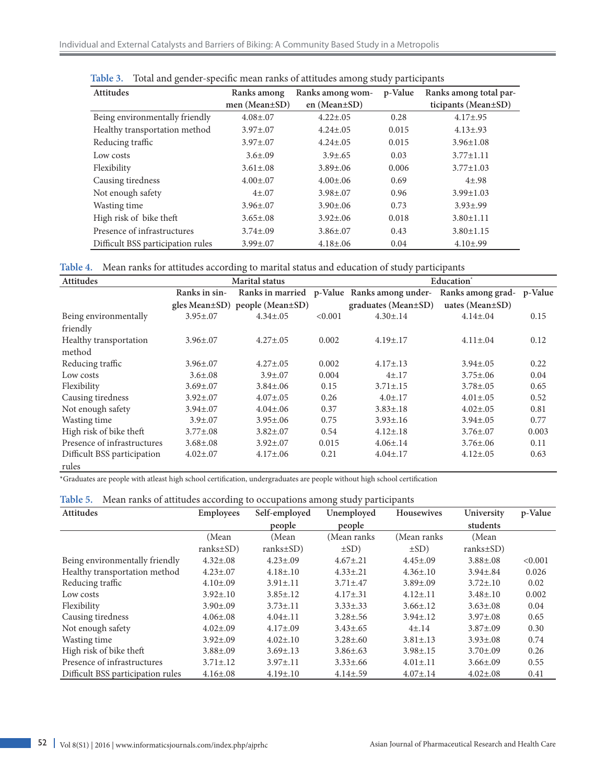| <b>Attitudes</b>                  | Ranks among         | Ranks among wom-   | p-Value | Ranks among total par- |
|-----------------------------------|---------------------|--------------------|---------|------------------------|
|                                   | men (Mean $\pm$ SD) | en (Mean $\pm$ SD) |         | ticipants (Mean±SD)    |
| Being environmentally friendly    | $4.08 \pm 0.07$     | $4.22 \pm .05$     | 0.28    | $4.17 \pm .95$         |
| Healthy transportation method     | $3.97 \pm 0.07$     | $4.24 \pm .05$     | 0.015   | $4.13 \pm .93$         |
| Reducing traffic                  | $3.97 \pm 0.07$     | $4.24 \pm .05$     | 0.015   | $3.96 \pm 1.08$        |
| Low costs                         | $3.6 \pm .09$       | $3.9 \pm .65$      | 0.03    | $3.77 \pm 1.11$        |
| Flexibility                       | $3.61 \pm .08$      | $3.89 \pm .06$     | 0.006   | $3.77 \pm 1.03$        |
| Causing tiredness                 | $4.00 \pm 0.07$     | $4.00 \pm .06$     | 0.69    | $4\pm.98$              |
| Not enough safety                 | $4\pm.07$           | $3.98 \pm 0.07$    | 0.96    | $3.99 \pm 1.03$        |
| Wasting time                      | $3.96 \pm 0.07$     | $3.90 \pm 0.06$    | 0.73    | $3.93 \pm .99$         |
| High risk of bike theft           | $3.65 \pm .08$      | $3.92 \pm .06$     | 0.018   | $3.80 \pm 1.11$        |
| Presence of infrastructures       | $3.74 \pm 0.09$     | $3.86 \pm 0.07$    | 0.43    | $3.80 \pm 1.15$        |
| Difficult BSS participation rules | $3.99 \pm 0.07$     | $4.18 \pm .06$     | 0.04    | $4.10{\pm}.99$         |

| Table 3. Total and gender-specific mean ranks of attitudes among study participants |  |  |  |  |  |  |  |
|-------------------------------------------------------------------------------------|--|--|--|--|--|--|--|
|-------------------------------------------------------------------------------------|--|--|--|--|--|--|--|

**Table 4.** Mean ranks for attitudes according to marital status and education of study participants

| <b>Attitudes</b>            |                 | <b>Marital</b> status          |         |                            | Education <sup>*</sup> |         |
|-----------------------------|-----------------|--------------------------------|---------|----------------------------|------------------------|---------|
|                             | Ranks in sin-   | Ranks in married               |         | p-Value Ranks among under- | Ranks among grad-      | p-Value |
|                             |                 | gles Mean±SD) people (Mean±SD) |         | $graduates (Mean \pm SD)$  | uates (Mean $\pm$ SD)  |         |
| Being environmentally       | $3.95 \pm 0.07$ | $4.34 \pm .05$                 | < 0.001 | $4.30 \pm .14$             | $4.14 \pm .04$         | 0.15    |
| friendly                    |                 |                                |         |                            |                        |         |
| Healthy transportation      | $3.96 \pm 0.07$ | $4.27 \pm .05$                 | 0.002   | $4.19 \pm .17$             | $4.11 \pm .04$         | 0.12    |
| method                      |                 |                                |         |                            |                        |         |
| Reducing traffic            | $3.96 \pm 0.07$ | $4.27 \pm .05$                 | 0.002   | $4.17 \pm .13$             | $3.94 \pm .05$         | 0.22    |
| Low costs                   | $3.6{\pm}.08$   | $3.9 \pm .07$                  | 0.004   | $4 + .17$                  | $3.75 \pm .06$         | 0.04    |
| Flexibility                 | $3.69 \pm 0.07$ | $3.84 \pm .06$                 | 0.15    | $3.71 \pm .15$             | $3.78 \pm .05$         | 0.65    |
| Causing tiredness           | $3.92 \pm 0.07$ | $4.07 \pm .05$                 | 0.26    | $4.0 \pm .17$              | $4.01 \pm .05$         | 0.52    |
| Not enough safety           | $3.94 \pm 0.07$ | $4.04 \pm 0.06$                | 0.37    | $3.83 \pm .18$             | $4.02 \pm .05$         | 0.81    |
| Wasting time                | $3.9 \pm .07$   | $3.95 \pm .06$                 | 0.75    | $3.93 \pm .16$             | $3.94 \pm .05$         | 0.77    |
| High risk of bike theft     | $3.77 \pm .08$  | $3.82 \pm .07$                 | 0.54    | $4.12 \pm .18$             | $3.76 \pm 0.07$        | 0.003   |
| Presence of infrastructures | $3.68 \pm .08$  | $3.92 \pm 0.07$                | 0.015   | $4.06 \pm .14$             | $3.76 \pm 0.06$        | 0.11    |
| Difficult BSS participation | $4.02 \pm .07$  | $4.17 \pm .06$                 | 0.21    | $4.04 \pm 0.17$            | $4.12 \pm .05$         | 0.63    |
| rules                       |                 |                                |         |                            |                        |         |

\*Graduates are people with atleast high school certification, undergraduates are people without high school certification

| Table 5. Mean ranks of attitudes according to occupations among study participants |  |  |
|------------------------------------------------------------------------------------|--|--|
|                                                                                    |  |  |

| <b>Attitudes</b>                  | ັ<br><b>Employees</b> | Self-employed    | $\sqrt{1}$<br>Unemployed | <b>Housewives</b> | University       | p-Value |
|-----------------------------------|-----------------------|------------------|--------------------------|-------------------|------------------|---------|
|                                   |                       | people           | people                   |                   | students         |         |
|                                   | (Mean                 | (Mean            | (Mean ranks              | (Mean ranks)      | (Mean)           |         |
|                                   | $ranks \pm SD$ )      | $ranks \pm SD$ ) | $\pm$ SD)                | $\pm$ SD)         | $ranks \pm SD$ ) |         |
| Being environmentally friendly    | $4.32 \pm .08$        | $4.23 \pm .09$   | $4.67 \pm .21$           | $4.45 \pm .09$    | $3.88 \pm .08$   | < 0.001 |
| Healthy transportation method     | $4.23 \pm .07$        | $4.18 \pm .10$   | $4.33 \pm .21$           | $4.36{\pm}.10$    | $3.94 \pm .84$   | 0.026   |
| Reducing traffic                  | $4.10{\pm}.09$        | $3.91{\pm}.11$   | $3.71 \pm .47$           | $3.89 \pm .09$    | $3.72 \pm .10$   | 0.02    |
| Low costs                         | $3.92 \pm .10$        | $3.85 \pm .12$   | $4.17{\pm}.31$           | $4.12{\pm}.11$    | $3.48 \pm .10$   | 0.002   |
| Flexibility                       | $3.90 \pm .09$        | $3.73{\pm}.11$   | $3.33 \pm .33$           | $3.66{\pm}.12$    | $3.63 \pm .08$   | 0.04    |
| Causing tiredness                 | $4.06 \pm .08$        | $4.04 \pm .11$   | $3.28 \pm .56$           | $3.94 \pm .12$    | $3.97 \pm .08$   | 0.65    |
| Not enough safety                 | $4.02 \pm .09$        | $4.17{\pm}.09$   | $3.43 \pm .65$           | $4 \pm .14$       | $3.87 \pm .09$   | 0.30    |
| Wasting time                      | $3.92 \pm .09$        | $4.02 \pm .10$   | $3.28 \pm .60$           | $3.81 \pm .13$    | $3.93 \pm .08$   | 0.74    |
| High risk of bike theft           | $3.88 \pm .09$        | $3.69 \pm .13$   | $3.86 \pm .63$           | $3.98 \pm .15$    | $3.70 \pm 0.09$  | 0.26    |
| Presence of infrastructures       | $3.71 \pm .12$        | $3.97{\pm}.11$   | $3.33 \pm .66$           | $4.01 \pm .11$    | $3.66 \pm .09$   | 0.55    |
| Difficult BSS participation rules | $4.16{\pm}.08$        | $4.19{\pm}.10$   | $4.14 \pm .59$           | $4.07 \pm .14$    | $4.02 \pm .08$   | 0.41    |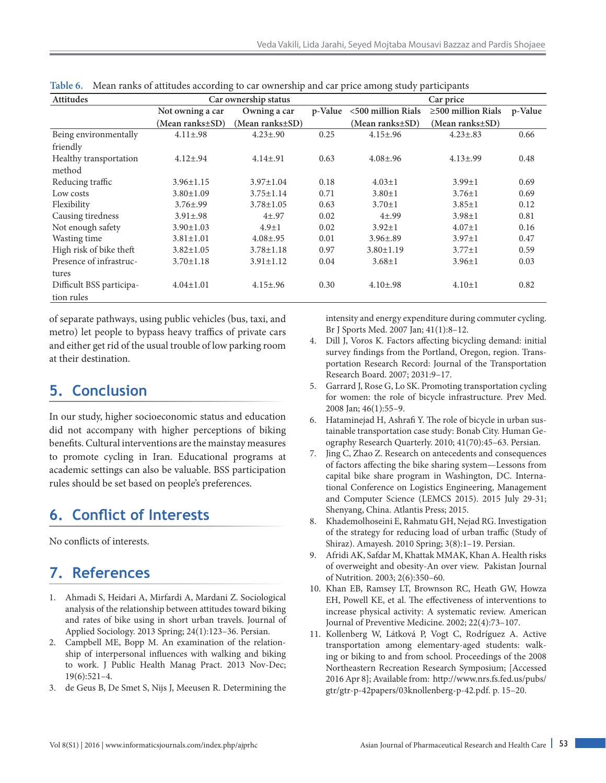| <b>Attitudes</b>         | Car ownership status  |                       |         | Car price          |                          |         |
|--------------------------|-----------------------|-----------------------|---------|--------------------|--------------------------|---------|
|                          | Not owning a car      | Owning a car          | p-Value | <500 million Rials | $\geq$ 500 million Rials | p-Value |
|                          | $(Mean ranks \pm SD)$ | $(Mean ranks \pm SD)$ |         | (Mean ranks±SD)    | $(Mean ranks \pm SD)$    |         |
| Being environmentally    | $4.11 \pm .98$        | $4.23 \pm .90$        | 0.25    | $4.15 \pm .96$     | $4.23 \pm .83$           | 0.66    |
| friendly                 |                       |                       |         |                    |                          |         |
| Healthy transportation   | $4.12 \pm .94$        | $4.14 \pm .91$        | 0.63    | $4.08 \pm .96$     | $4.13{\pm}.99$           | 0.48    |
| method                   |                       |                       |         |                    |                          |         |
| Reducing traffic         | $3.96 \pm 1.15$       | $3.97 \pm 1.04$       | 0.18    | $4.03 \pm 1$       | $3.99 \pm 1$             | 0.69    |
| Low costs                | $3.80 \pm 1.09$       | $3.75 \pm 1.14$       | 0.71    | $3.80 \pm 1$       | $3.76 \pm 1$             | 0.69    |
| Flexibility              | $3.76 \pm .99$        | $3.78 \pm 1.05$       | 0.63    | $3.70 \pm 1$       | $3.85 \pm 1$             | 0.12    |
| Causing tiredness        | $3.91 \pm .98$        | $4 + .97$             | 0.02    | $4 + .99$          | $3.98 \pm 1$             | 0.81    |
| Not enough safety        | $3.90 \pm 1.03$       | $4.9 \pm 1$           | 0.02    | $3.92 \pm 1$       | $4.07 \pm 1$             | 0.16    |
| Wasting time             | $3.81 \pm 1.01$       | $4.08 \pm .95$        | 0.01    | $3.96 \pm .89$     | $3.97 \pm 1$             | 0.47    |
| High risk of bike theft  | $3.82 \pm 1.05$       | $3.78 \pm 1.18$       | 0.97    | $3.80 \pm 1.19$    | $3.77 \pm 1$             | 0.59    |
| Presence of infrastruc-  | $3.70 \pm 1.18$       | $3.91 \pm 1.12$       | 0.04    | $3.68 \pm 1$       | $3.96 \pm 1$             | 0.03    |
| tures                    |                       |                       |         |                    |                          |         |
| Difficult BSS participa- | $4.04 \pm 1.01$       | $4.15 \pm .96$        | 0.30    | $4.10 \pm .98$     | $4.10 \pm 1$             | 0.82    |
| tion rules               |                       |                       |         |                    |                          |         |

**Table 6.** Mean ranks of attitudes according to car ownership and car price among study participants

of separate pathways, using public vehicles (bus, taxi, and metro) let people to bypass heavy traffics of private cars and either get rid of the usual trouble of low parking room at their destination.

# **5. Conclusion**

In our study, higher socioeconomic status and education did not accompany with higher perceptions of biking benefits. Cultural interventions are the mainstay measures to promote cycling in Iran. Educational programs at academic settings can also be valuable. BSS participation rules should be set based on people's preferences.

# **6. Conflict of Interests**

No conflicts of interests.

# **7. References**

- 1. Ahmadi S, Heidari A, Mirfardi A, Mardani Z. Sociological analysis of the relationship between attitudes toward biking and rates of bike using in short urban travels. Journal of Applied Sociology. 2013 Spring; 24(1):123–36. Persian.
- 2. Campbell ME, Bopp M. An examination of the relationship of interpersonal influences with walking and biking to work. J Public Health Manag Pract. 2013 Nov-Dec; 19(6):521–4.
- 3. de Geus B, De Smet S, Nijs J, Meeusen R. Determining the

intensity and energy expenditure during commuter cycling. Br J Sports Med. 2007 Jan; 41(1):8–12.

- 4. Dill J, Voros K. Factors affecting bicycling demand: initial survey findings from the Portland, Oregon, region. Transportation Research Record: Journal of the Transportation Research Board. 2007; 2031:9–17.
- 5. Garrard J, Rose G, Lo SK. Promoting transportation cycling for women: the role of bicycle infrastructure. Prev Med. 2008 Jan; 46(1):55–9.
- 6. Hataminejad H, Ashrafi Y. The role of bicycle in urban sustainable transportation case study: Bonab City. Human Geography Research Quarterly. 2010; 41(70):45–63. Persian.
- 7. Jing C, Zhao Z. Research on antecedents and consequences of factors affecting the bike sharing system—Lessons from capital bike share program in Washington, DC. International Conference on Logistics Engineering, Management and Computer Science (LEMCS 2015). 2015 July 29-31; Shenyang, China. Atlantis Press; 2015.
- 8. Khademolhoseini E, Rahmatu GH, Nejad RG. Investigation of the strategy for reducing load of urban traffic (Study of Shiraz). Amayesh. 2010 Spring; 3(8):1–19. Persian.
- 9. Afridi AK, Safdar M, Khattak MMAK, Khan A. Health risks of overweight and obesity-An over view. Pakistan Journal of Nutrition. 2003; 2(6):350–60.
- 10. Khan EB, Ramsey LT, Brownson RC, Heath GW, Howza EH, Powell KE, et al. The effectiveness of interventions to increase physical activity: A systematic review. American Journal of Preventive Medicine. 2002; 22(4):73–107.
- 11. Kollenberg W, Látková P, Vogt C, Rodríguez A. Active transportation among elementary-aged students: walking or biking to and from school. Proceedings of the 2008 Northeastern Recreation Research Symposium; [Accessed 2016 Apr 8]; Available from: http://www.nrs.fs.fed.us/pubs/ gtr/gtr-p-42papers/03knollenberg-p-42.pdf. p. 15–20.